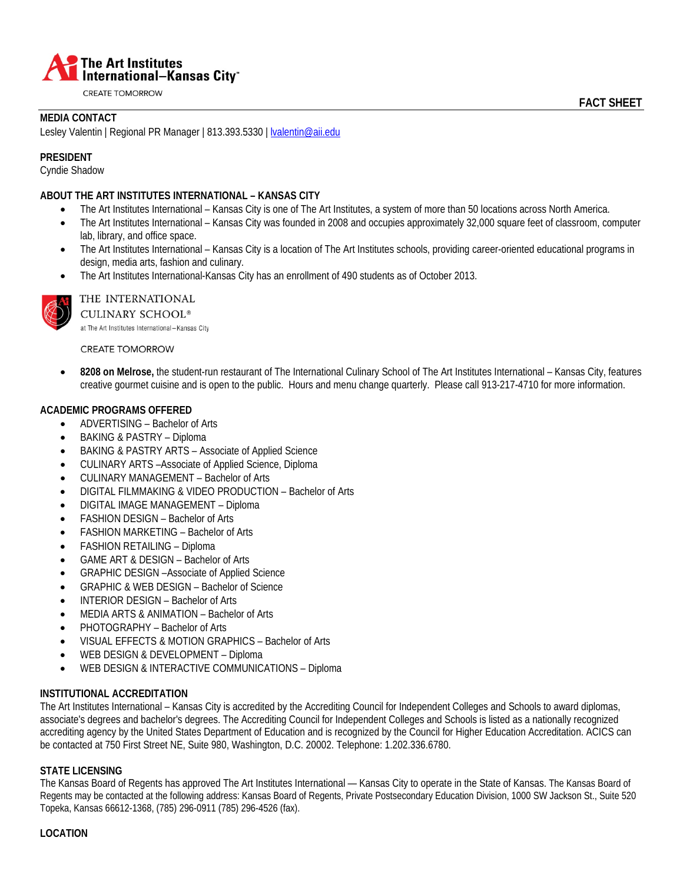

**CREATE TOMORROW** 

# **MEDIA CONTACT**

Lesley Valentin | Regional PR Manager | 813.393.5330 | Ivalentin@aii.edu

## **PRESIDENT**

Cyndie Shadow

### **ABOUT THE ART INSTITUTES INTERNATIONAL – KANSAS CITY**

- The Art Institutes International Kansas City is one of The Art Institutes, a system of more than 50 locations across North America.
- The Art Institutes International Kansas City was founded in 2008 and occupies approximately 32,000 square feet of classroom, computer lab, library, and office space.
- The Art Institutes International Kansas City is a location of The Art Institutes schools, providing career-oriented educational programs in design, media arts, fashion and culinary.
- The Art Institutes International-Kansas City has an enrollment of 490 students as of October 2013.



# THE INTERNATIONAL

**CULINARY SCHOOL®** at The Art Institutes International-Kansas City

**CREATE TOMORROW** 

• **8208 on Melrose,** the student-run restaurant of The International Culinary School of The Art Institutes International – Kansas City, features creative gourmet cuisine and is open to the public. Hours and menu change quarterly. Please call 913-217-4710 for more information.

## **ACADEMIC PROGRAMS OFFERED**

- ADVERTISING Bachelor of Arts
- BAKING & PASTRY Diploma
- BAKING & PASTRY ARTS Associate of Applied Science
- CULINARY ARTS –Associate of Applied Science, Diploma
- CULINARY MANAGEMENT Bachelor of Arts
- DIGITAL FILMMAKING & VIDEO PRODUCTION Bachelor of Arts
- DIGITAL IMAGE MANAGEMENT Diploma
- FASHION DESIGN Bachelor of Arts
- FASHION MARKETING Bachelor of Arts
- FASHION RETAILING Diploma
- GAME ART & DESIGN Bachelor of Arts
- GRAPHIC DESIGN –Associate of Applied Science
- GRAPHIC & WEB DESIGN Bachelor of Science
- INTERIOR DESIGN Bachelor of Arts
- MEDIA ARTS & ANIMATION Bachelor of Arts
- PHOTOGRAPHY Bachelor of Arts
- VISUAL EFFECTS & MOTION GRAPHICS Bachelor of Arts
- WEB DESIGN & DEVELOPMENT Diploma
- WEB DESIGN & INTERACTIVE COMMUNICATIONS Diploma

## **INSTITUTIONAL ACCREDITATION**

The Art Institutes International – Kansas City is accredited by the Accrediting Council for Independent Colleges and Schools to award diplomas, associate's degrees and bachelor's degrees. The Accrediting Council for Independent Colleges and Schools is listed as a nationally recognized accrediting agency by the United States Department of Education and is recognized by the Council for Higher Education Accreditation. ACICS can be contacted at 750 First Street NE, Suite 980, Washington, D.C. 20002. Telephone: 1.202.336.6780.

### **STATE LICENSING**

The Kansas Board of Regents has approved The Art Institutes International — Kansas City to operate in the State of Kansas. The Kansas Board of Regents may be contacted at the following address: Kansas Board of Regents, Private Postsecondary Education Division, 1000 SW Jackson St., Suite 520 Topeka, Kansas 66612-1368, (785) 296-0911 (785) 296-4526 (fax).

### **LOCATION**